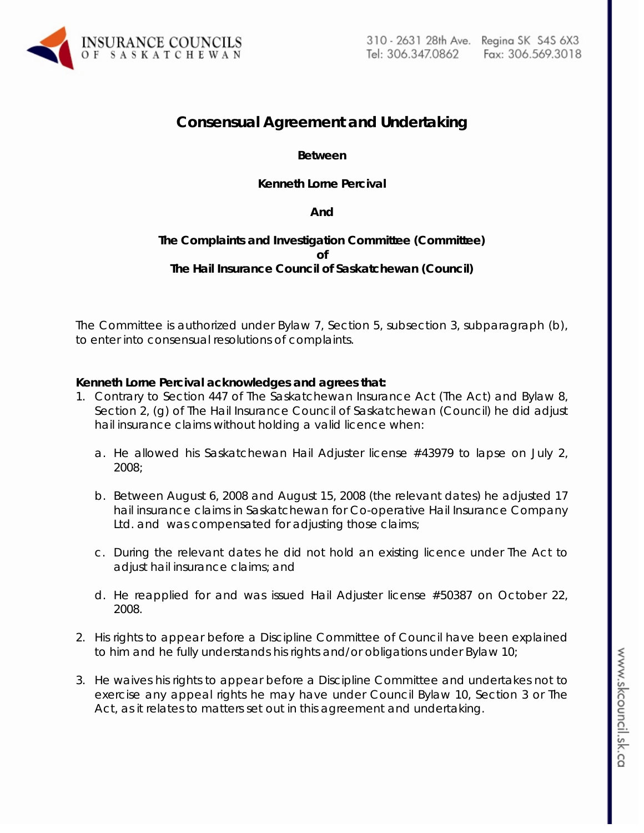

# **Consensual Agreement and Undertaking**

## **Between**

## **Kenneth Lorne Percival**

#### **And**

# **The Complaints and Investigation Committee (Committee) of The Hail Insurance Council of Saskatchewan (Council)**

The Committee is authorized under Bylaw 7, Section 5, subsection 3, subparagraph (b), to enter into consensual resolutions of complaints.

#### **Kenneth Lorne Percival acknowledges and agrees that:**

- 1. Contrary to Section 447 of *The Saskatchewan Insurance Act (The Act)* and Bylaw 8, Section 2, (g) of The Hail Insurance Council of Saskatchewan (Council) he did adjust hail insurance claims without holding a valid licence when:
	- a. He allowed his Saskatchewan Hail Adjuster license #43979 to lapse on July 2, 2008;
	- b. Between August 6, 2008 and August 15, 2008 (the relevant dates) he adjusted 17 hail insurance claims in Saskatchewan for Co-operative Hail Insurance Company Ltd. and was compensated for adjusting those claims;
	- c. During the relevant dates he did not hold an existing licence under *The Act* to adjust hail insurance claims; and
	- d. He reapplied for and was issued Hail Adjuster license #50387 on October 22, 2008.
- 2. His rights to appear before a Discipline Committee of Council have been explained to him and he fully understands his rights and/or obligations under Bylaw 10;
- 3. He waives his rights to appear before a Discipline Committee and undertakes not to exercise any appeal rights he may have under Council Bylaw 10, Section 3 or *The Act,* as it relates to matters set out in this agreement and undertaking.